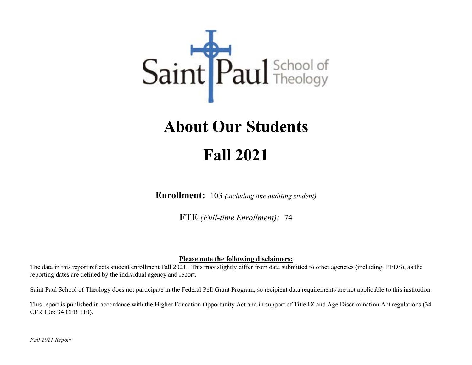# Saint Paul School of

## **About Our Students Fall 2021**

**Enrollment:** 103 *(including one auditing student)*

**FTE** *(Full-time Enrollment):*74

#### **Please note the following disclaimers:**

The data in this report reflects student enrollment Fall 2021. This may slightly differ from data submitted to other agencies (including IPEDS), as the reporting dates are defined by the individual agency and report.

Saint Paul School of Theology does not participate in the Federal Pell Grant Program, so recipient data requirements are not applicable to this institution.

This report is published in accordance with the Higher Education Opportunity Act and in support of Title IX and Age Discrimination Act regulations (34 CFR 106; 34 CFR 110).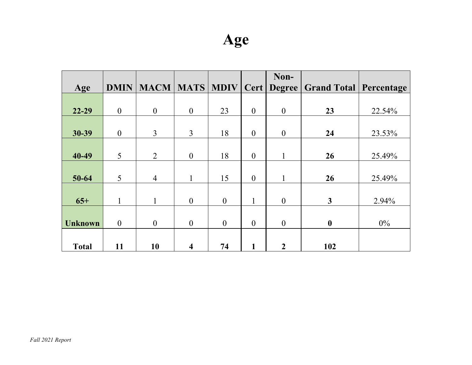|                |                  |                  |                         |                  |                  | Non-             |                                          |        |
|----------------|------------------|------------------|-------------------------|------------------|------------------|------------------|------------------------------------------|--------|
| Age            | <b>DMIN</b>      | <b>MACM</b>      | <b>MATS</b>             | <b>MDIV</b>      | Cert             |                  | <b>Degree   Grand Total   Percentage</b> |        |
|                |                  |                  |                         |                  |                  |                  |                                          |        |
| $22 - 29$      | $\boldsymbol{0}$ | $\boldsymbol{0}$ | $\overline{0}$          | 23               | $\boldsymbol{0}$ | $\boldsymbol{0}$ | 23                                       | 22.54% |
|                |                  |                  |                         |                  |                  |                  |                                          |        |
| 30-39          | $\boldsymbol{0}$ | 3                | $\overline{3}$          | 18               | $\boldsymbol{0}$ | $\boldsymbol{0}$ | 24                                       | 23.53% |
|                |                  |                  |                         |                  |                  |                  |                                          |        |
| 40-49          | 5                | $\overline{2}$   | $\theta$                | 18               | $\boldsymbol{0}$ | 1                | 26                                       | 25.49% |
|                |                  |                  |                         |                  |                  |                  |                                          |        |
| $50 - 64$      | 5                | $\overline{4}$   |                         | 15               | $\boldsymbol{0}$ |                  | 26                                       | 25.49% |
|                |                  |                  |                         |                  |                  |                  |                                          |        |
| $65+$          | 1                | 1                | $\overline{0}$          | $\mathbf{0}$     | $\mathbf{1}$     | $\mathbf{0}$     | $\mathbf{3}$                             | 2.94%  |
|                |                  |                  |                         |                  |                  |                  |                                          |        |
| <b>Unknown</b> | $\boldsymbol{0}$ | $\boldsymbol{0}$ | $\overline{0}$          | $\boldsymbol{0}$ | $\boldsymbol{0}$ | $\boldsymbol{0}$ | $\boldsymbol{0}$                         | $0\%$  |
|                |                  |                  |                         |                  |                  |                  |                                          |        |
| <b>Total</b>   | 11               | 10               | $\overline{\mathbf{4}}$ | 74               | 1                | $\boldsymbol{2}$ | 102                                      |        |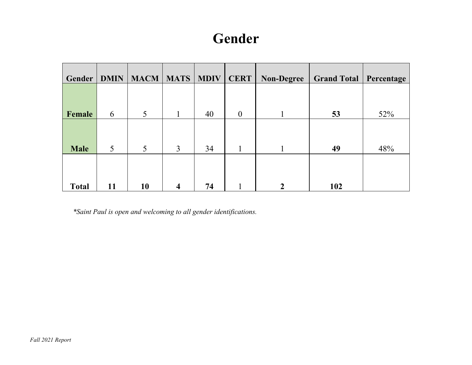#### **Gender**

| Gender       | <b>DMIN</b> | <b>MACM</b> | <b>MATS</b>             | <b>MDIV</b> | <b>CERT</b>      | <b>Non-Degree</b> | <b>Grand Total</b> | Percentage |
|--------------|-------------|-------------|-------------------------|-------------|------------------|-------------------|--------------------|------------|
|              |             |             |                         |             |                  |                   |                    |            |
| Female       | 6           | 5           |                         | 40          | $\boldsymbol{0}$ |                   | 53                 | 52%        |
|              |             |             |                         |             |                  |                   |                    |            |
| <b>Male</b>  | 5           | 5           | $\overline{3}$          | 34          |                  |                   | 49                 | 48%        |
|              |             |             |                         |             |                  |                   |                    |            |
| <b>Total</b> | 11          | 10          | $\overline{\mathbf{4}}$ | 74          |                  | າ                 | 102                |            |

*\*Saint Paul is open and welcoming to all gender identifications.*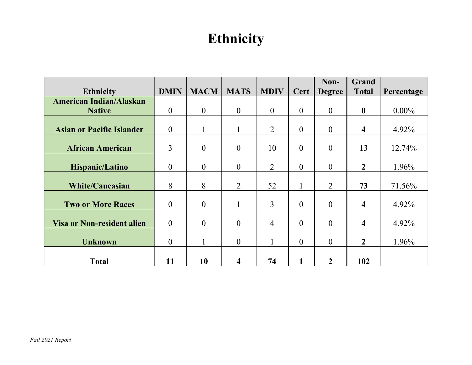#### **Ethnicity**

|                                   |                  |                |                |                |                  | Non-           | Grand                   |            |
|-----------------------------------|------------------|----------------|----------------|----------------|------------------|----------------|-------------------------|------------|
| <b>Ethnicity</b>                  | <b>DMIN</b>      | <b>MACM</b>    | <b>MATS</b>    | <b>MDIV</b>    | Cert             | <b>Degree</b>  | <b>Total</b>            | Percentage |
| <b>American Indian/Alaskan</b>    |                  |                |                |                |                  |                |                         |            |
| <b>Native</b>                     | $\boldsymbol{0}$ | $\theta$       | $\overline{0}$ | $\overline{0}$ | $\boldsymbol{0}$ | $\overline{0}$ | $\boldsymbol{0}$        | $0.00\%$   |
|                                   |                  |                |                |                |                  |                |                         |            |
| <b>Asian or Pacific Islander</b>  | $\boldsymbol{0}$ |                |                | $\overline{2}$ | $\boldsymbol{0}$ | $\mathbf{0}$   | $\overline{\mathbf{4}}$ | 4.92%      |
|                                   |                  |                |                |                |                  |                |                         |            |
| <b>African American</b>           | 3                | $\theta$       | $\theta$       | 10             | $\theta$         | $\mathbf{0}$   | 13                      | 12.74%     |
|                                   |                  |                |                |                |                  |                |                         |            |
| Hispanic/Latino                   | $\boldsymbol{0}$ | $\overline{0}$ | $\mathbf{0}$   | $\overline{2}$ | $\boldsymbol{0}$ | $\overline{0}$ | $\overline{2}$          | 1.96%      |
|                                   |                  |                |                |                |                  |                |                         |            |
| <b>White/Caucasian</b>            | 8                | 8              | 2              | 52             | $\mathbf{1}$     | $\overline{2}$ | 73                      | 71.56%     |
|                                   |                  |                |                |                |                  |                |                         |            |
| <b>Two or More Races</b>          | $\boldsymbol{0}$ | $\overline{0}$ |                | 3              | $\overline{0}$   | $\theta$       | $\overline{\mathbf{4}}$ | 4.92%      |
|                                   |                  |                |                |                |                  |                |                         |            |
| <b>Visa or Non-resident alien</b> | $\overline{0}$   | $\overline{0}$ | $\overline{0}$ | $\overline{4}$ | $\overline{0}$   | $\overline{0}$ | $\overline{\mathbf{4}}$ | 4.92%      |
|                                   |                  |                |                |                |                  |                |                         |            |
| <b>Unknown</b>                    | $\mathbf{0}$     |                | $\mathbf{0}$   |                | $\overline{0}$   | $\mathbf{0}$   | $\overline{2}$          | 1.96%      |
|                                   |                  |                |                |                |                  |                |                         |            |
| <b>Total</b>                      | 11               | 10             | 4              | 74             | 1                | $\overline{2}$ | 102                     |            |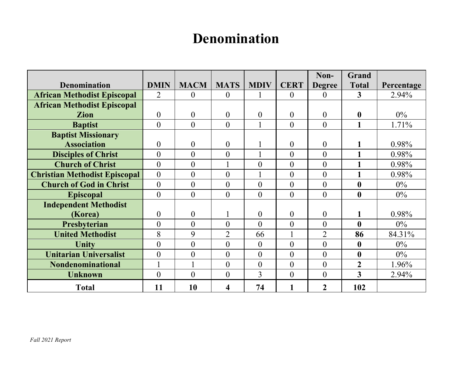#### **Denomination**

|                                      |                  |                |                |                  |                | Non-           | <b>Grand</b>     |            |
|--------------------------------------|------------------|----------------|----------------|------------------|----------------|----------------|------------------|------------|
| <b>Denomination</b>                  | <b>DMIN</b>      | <b>MACM</b>    | <b>MATS</b>    | <b>MDIV</b>      | <b>CERT</b>    | <b>Degree</b>  | <b>Total</b>     | Percentage |
| <b>African Methodist Episcopal</b>   | $\overline{2}$   | $\theta$       | $\theta$       |                  | $\theta$       | $\theta$       | 3                | 2.94%      |
| <b>African Methodist Episcopal</b>   |                  |                |                |                  |                |                |                  |            |
| <b>Zion</b>                          | $\theta$         | $\overline{0}$ | $\overline{0}$ | $\overline{0}$   | $\theta$       | $\theta$       | $\boldsymbol{0}$ | $0\%$      |
| <b>Baptist</b>                       | $\theta$         | $\theta$       | $\theta$       | 1                | $\theta$       | $\overline{0}$ | 1                | 1.71%      |
| <b>Baptist Missionary</b>            |                  |                |                |                  |                |                |                  |            |
| <b>Association</b>                   | $\theta$         | $\overline{0}$ | $\overline{0}$ |                  | $\overline{0}$ | $\theta$       |                  | 0.98%      |
| <b>Disciples of Christ</b>           | $\overline{0}$   | $\theta$       | $\theta$       |                  | $\theta$       | $\theta$       | $\mathbf{1}$     | 0.98%      |
| <b>Church of Christ</b>              | $\overline{0}$   | $\overline{0}$ |                | $\overline{0}$   | $\overline{0}$ | $\overline{0}$ | 1                | 0.98%      |
| <b>Christian Methodist Episcopal</b> | $\boldsymbol{0}$ | $\overline{0}$ | $\overline{0}$ |                  | $\theta$       | $\overline{0}$ | $\mathbf{1}$     | 0.98%      |
| <b>Church of God in Christ</b>       | $\theta$         | $\theta$       | $\theta$       | $\theta$         | $\theta$       | $\theta$       | $\boldsymbol{0}$ | $0\%$      |
| <b>Episcopal</b>                     | $\overline{0}$   | $\theta$       | $\theta$       | $\theta$         | $\theta$       | $\overline{0}$ | $\boldsymbol{0}$ | $0\%$      |
| <b>Independent Methodist</b>         |                  |                |                |                  |                |                |                  |            |
| (Korea)                              | $\boldsymbol{0}$ | $\overline{0}$ | 1              | $\mathbf{0}$     | $\theta$       | $\overline{0}$ | 1                | 0.98%      |
| Presbyterian                         | $\overline{0}$   | $\theta$       | $\theta$       | $\theta$         | $\theta$       | $\theta$       | $\boldsymbol{0}$ | $0\%$      |
| <b>United Methodist</b>              | 8                | 9              | $\overline{2}$ | 66               |                | $\overline{2}$ | 86               | 84.31%     |
| Unity                                | $\overline{0}$   | $\overline{0}$ | $\overline{0}$ | $\overline{0}$   | $\overline{0}$ | $\overline{0}$ | $\boldsymbol{0}$ | $0\%$      |
| <b>Unitarian Universalist</b>        | $\overline{0}$   | $\theta$       | $\theta$       | $\theta$         | $\theta$       | $\theta$       | $\boldsymbol{0}$ | $0\%$      |
| <b>Nondenominational</b>             | 1                |                | $\overline{0}$ | $\boldsymbol{0}$ | $\theta$       | $\overline{0}$ | $\overline{2}$   | 1.96%      |
| <b>Unknown</b>                       | $\theta$         | $\theta$       | $\theta$       | 3                | $\theta$       | $\theta$       | 3                | 2.94%      |
| <b>Total</b>                         | 11               | 10             | 4              | 74               | 1              | $\overline{2}$ | 102              |            |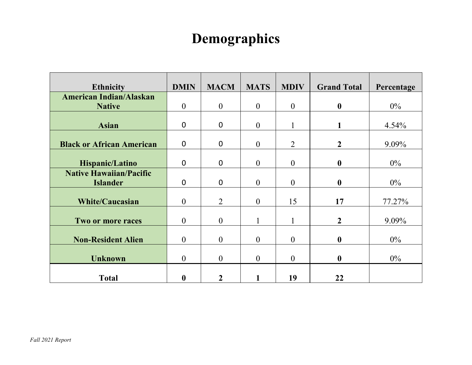#### **Demographics**

| <b>Ethnicity</b>                 | <b>DMIN</b>      | <b>MACM</b>      | <b>MATS</b>    | <b>MDIV</b>    | <b>Grand Total</b> | Percentage |
|----------------------------------|------------------|------------------|----------------|----------------|--------------------|------------|
| <b>American Indian/Alaskan</b>   |                  |                  |                |                |                    |            |
| <b>Native</b>                    | $\boldsymbol{0}$ | $\boldsymbol{0}$ | $\mathbf{0}$   | $\mathbf{0}$   | $\boldsymbol{0}$   | $0\%$      |
|                                  |                  |                  |                |                |                    |            |
| <b>Asian</b>                     | $\mathbf 0$      | $\mathbf 0$      | $\overline{0}$ |                |                    | 4.54%      |
|                                  |                  |                  |                |                |                    |            |
| <b>Black or African American</b> | $\mathbf 0$      | $\mathbf 0$      | $\overline{0}$ | $\overline{2}$ | $\boldsymbol{2}$   | 9.09%      |
|                                  |                  |                  |                |                |                    |            |
| Hispanic/Latino                  | $\mathbf 0$      | $\mathbf 0$      | $\theta$       | $\theta$       | $\boldsymbol{0}$   | $0\%$      |
| <b>Native Hawaiian/Pacific</b>   |                  |                  |                |                |                    |            |
| <b>Islander</b>                  | $\mathbf 0$      | $\mathbf 0$      | $\theta$       | $\theta$       | $\boldsymbol{0}$   | $0\%$      |
|                                  |                  |                  |                |                |                    |            |
| <b>White/Caucasian</b>           | $\boldsymbol{0}$ | $\overline{2}$   | $\mathbf{0}$   | 15             | 17                 | 77.27%     |
|                                  |                  |                  |                |                |                    |            |
| Two or more races                | $\theta$         | $\overline{0}$   |                | $\mathbf{1}$   | $\overline{2}$     | 9.09%      |
|                                  |                  |                  |                |                |                    |            |
| <b>Non-Resident Alien</b>        | $\theta$         | $\theta$         | $\theta$       | $\theta$       | $\boldsymbol{0}$   | $0\%$      |
|                                  |                  |                  |                |                |                    |            |
| <b>Unknown</b>                   | $\overline{0}$   | $\theta$         | $\mathbf{0}$   | $\overline{0}$ | $\boldsymbol{0}$   | $0\%$      |
|                                  |                  |                  |                |                |                    |            |
| <b>Total</b>                     | $\boldsymbol{0}$ | $\overline{2}$   |                | 19             | 22                 |            |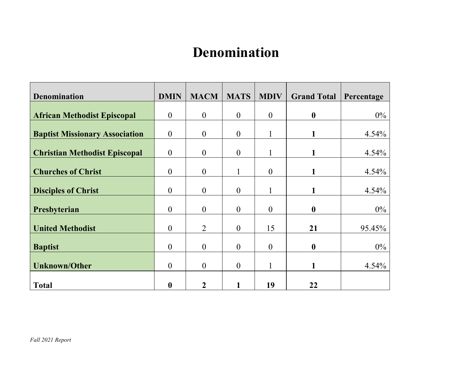#### **Denomination**

| <b>Denomination</b>                   | <b>DMIN</b>      | <b>MACM</b>      | <b>MATS</b>      | <b>MDIV</b>    | <b>Grand Total</b> | Percentage |
|---------------------------------------|------------------|------------------|------------------|----------------|--------------------|------------|
| <b>African Methodist Episcopal</b>    | $\theta$         | $\overline{0}$   | $\boldsymbol{0}$ | $\overline{0}$ | $\boldsymbol{0}$   | $0\%$      |
| <b>Baptist Missionary Association</b> | $\theta$         | $\theta$         | $\theta$         |                |                    | 4.54%      |
| <b>Christian Methodist Episcopal</b>  | $\boldsymbol{0}$ | $\theta$         | $\overline{0}$   |                |                    | 4.54%      |
| <b>Churches of Christ</b>             | $\theta$         | $\boldsymbol{0}$ |                  | $\mathbf{0}$   | $\mathbf{1}$       | 4.54%      |
| <b>Disciples of Christ</b>            | $\theta$         | $\boldsymbol{0}$ | $\overline{0}$   |                |                    | 4.54%      |
| Presbyterian                          | $\overline{0}$   | $\boldsymbol{0}$ | $\overline{0}$   | $\theta$       | $\boldsymbol{0}$   | $0\%$      |
| <b>United Methodist</b>               | $\theta$         | $\overline{2}$   | $\boldsymbol{0}$ | 15             | 21                 | 95.45%     |
| <b>Baptist</b>                        | $\theta$         | $\overline{0}$   | $\overline{0}$   | $\theta$       | $\boldsymbol{0}$   | $0\%$      |
| <b>Unknown/Other</b>                  | $\overline{0}$   | $\overline{0}$   | $\overline{0}$   |                | $\mathbf{1}$       | 4.54%      |
| <b>Total</b>                          | $\boldsymbol{0}$ | 2                |                  | 19             | 22                 |            |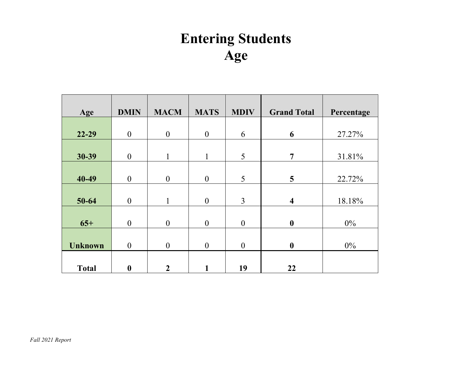### **Entering Students Age**

| Age            | <b>DMIN</b>      | <b>MACM</b>      | <b>MATS</b>      | <b>MDIV</b>      | <b>Grand Total</b>      | Percentage |
|----------------|------------------|------------------|------------------|------------------|-------------------------|------------|
|                |                  |                  |                  |                  |                         |            |
| $22 - 29$      | $\boldsymbol{0}$ | $\boldsymbol{0}$ | $\boldsymbol{0}$ | 6                | 6                       | 27.27%     |
|                |                  |                  |                  |                  |                         |            |
| 30-39          | $\boldsymbol{0}$ | 1                | 1                | 5                | $\overline{7}$          | 31.81%     |
|                |                  |                  |                  |                  |                         |            |
| 40-49          | $\boldsymbol{0}$ | $\boldsymbol{0}$ | $\boldsymbol{0}$ | 5                | 5                       | 22.72%     |
|                |                  |                  |                  |                  |                         |            |
| 50-64          | $\overline{0}$   |                  | $\mathbf{0}$     | $\overline{3}$   | $\overline{\mathbf{4}}$ | 18.18%     |
|                |                  |                  |                  |                  |                         |            |
| $65+$          | $\boldsymbol{0}$ | $\boldsymbol{0}$ | $\mathbf{0}$     | $\boldsymbol{0}$ | $\boldsymbol{0}$        | $0\%$      |
|                |                  |                  |                  |                  |                         |            |
| <b>Unknown</b> | $\boldsymbol{0}$ | $\boldsymbol{0}$ | $\boldsymbol{0}$ | $\boldsymbol{0}$ | $\boldsymbol{0}$        | $0\%$      |
|                |                  |                  |                  |                  |                         |            |
| <b>Total</b>   | $\boldsymbol{0}$ | $\overline{2}$   |                  | 19               | 22                      |            |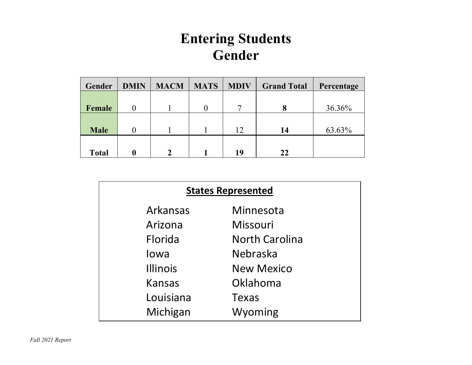#### **Entering Students Gender**

| Gender       | <b>DMIN</b> | <b>MACM</b> | <b>MATS</b> | <b>MDIV</b> | <b>Grand Total</b> | Percentage |
|--------------|-------------|-------------|-------------|-------------|--------------------|------------|
|              |             |             |             |             |                    |            |
| Female       |             |             |             | ⇁           | 8                  | 36.36%     |
|              |             |             |             |             |                    |            |
| <b>Male</b>  |             |             |             | 12          | 14                 | 63.63%     |
|              |             |             |             |             |                    |            |
| <b>Total</b> | 0           | ∍           |             | 19          | 22                 |            |

| <b>States Represented</b> |                       |  |  |  |  |  |  |
|---------------------------|-----------------------|--|--|--|--|--|--|
| Arkansas                  | Minnesota             |  |  |  |  |  |  |
| Arizona                   | Missouri              |  |  |  |  |  |  |
| Florida                   | <b>North Carolina</b> |  |  |  |  |  |  |
| lowa                      | Nebraska              |  |  |  |  |  |  |
| <b>Illinois</b>           | <b>New Mexico</b>     |  |  |  |  |  |  |
| Kansas                    | Oklahoma              |  |  |  |  |  |  |
| Louisiana                 | Texas                 |  |  |  |  |  |  |
| Michigan                  | Wyoming               |  |  |  |  |  |  |